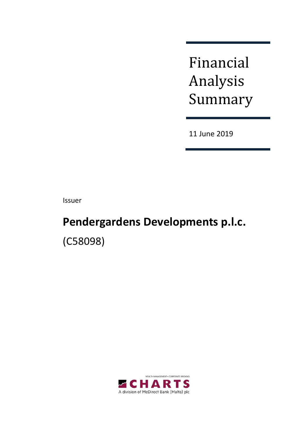Financial Analysis Summary

11 June 2019

Issuer

# **Pendergardens Developments p.l.c.** (C58098)

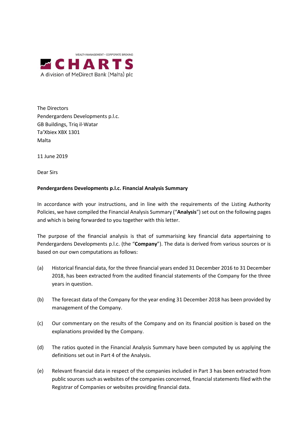

The Directors Pendergardens Developments p.l.c. GB Buildings, Triq il-Watar Ta'Xbiex XBX 1301 Malta

11 June 2019

Dear Sirs

#### **Pendergardens Developments p.l.c. Financial Analysis Summary**

In accordance with your instructions, and in line with the requirements of the Listing Authority Policies, we have compiled the Financial Analysis Summary ("**Analysis**") set out on the following pages and which is being forwarded to you together with this letter.

The purpose of the financial analysis is that of summarising key financial data appertaining to Pendergardens Developments p.l.c. (the "**Company**"). The data is derived from various sources or is based on our own computations as follows:

- (a) Historical financial data, for the three financial years ended 31 December 2016 to 31 December 2018, has been extracted from the audited financial statements of the Company for the three years in question.
- (b) The forecast data of the Company for the year ending 31 December 2018 has been provided by management of the Company.
- (c) Our commentary on the results of the Company and on its financial position is based on the explanations provided by the Company.
- (d) The ratios quoted in the Financial Analysis Summary have been computed by us applying the definitions set out in Part 4 of the Analysis.
- (e) Relevant financial data in respect of the companies included in Part 3 has been extracted from public sources such as websites of the companies concerned, financial statements filed with the Registrar of Companies or websites providing financial data.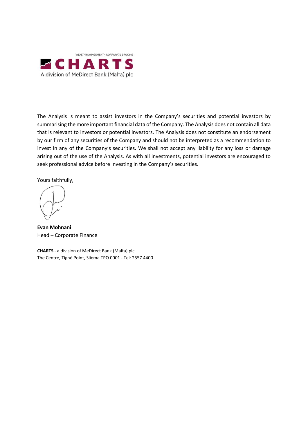

The Analysis is meant to assist investors in the Company's securities and potential investors by summarising the more important financial data of the Company. The Analysis does not contain all data that is relevant to investors or potential investors. The Analysis does not constitute an endorsement by our firm of any securities of the Company and should not be interpreted as a recommendation to invest in any of the Company's securities. We shall not accept any liability for any loss or damage arising out of the use of the Analysis. As with all investments, potential investors are encouraged to seek professional advice before investing in the Company's securities.

Yours faithfully,

**Evan Mohnani** Head – Corporate Finance

**CHARTS** - a division of MeDirect Bank (Malta) plc The Centre, Tigné Point, Sliema TPO 0001 - Tel: 2557 4400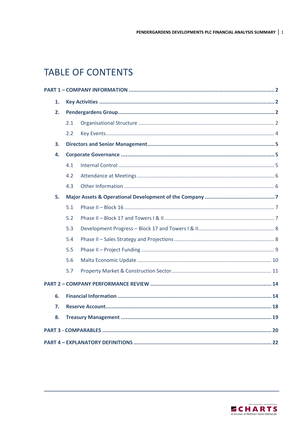# **TABLE OF CONTENTS**

| 1. |     |  |
|----|-----|--|
| 2. |     |  |
|    | 2.1 |  |
|    | 2.2 |  |
| 3. |     |  |
| 4. |     |  |
|    | 4.1 |  |
|    | 4.2 |  |
|    | 4.3 |  |
| 5. |     |  |
|    | 5.1 |  |
|    | 5.2 |  |
|    | 5.3 |  |
|    | 5.4 |  |
|    | 5.5 |  |
|    | 5.6 |  |
|    | 5.7 |  |
|    |     |  |
| 6. |     |  |
| 7. |     |  |
| 8. |     |  |
|    |     |  |
|    |     |  |

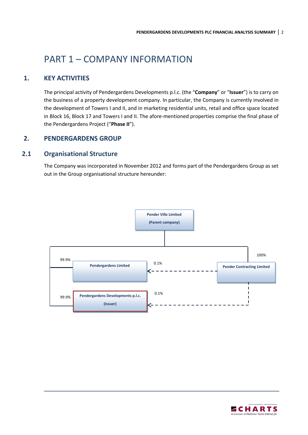# <span id="page-4-0"></span>PART 1 – COMPANY INFORMATION

# **1. KEY ACTIVITIES**

<span id="page-4-1"></span>The principal activity of Pendergardens Developments p.l.c. (the "**Company**" or "**Issuer**") is to carry on the business of a property development company. In particular, the Company is currently involved in the development of Towers I and II, and in marketing residential units, retail and office space located in Block 16, Block 17 and Towers I and II. The afore-mentioned properties comprise the final phase of the Pendergardens Project ("**Phase II**").

# <span id="page-4-2"></span>**2. PENDERGARDENS GROUP**

# <span id="page-4-3"></span>**2.1 Organisational Structure**

The Company was incorporated in November 2012 and forms part of the Pendergardens Group as set out in the Group organisational structure hereunder:



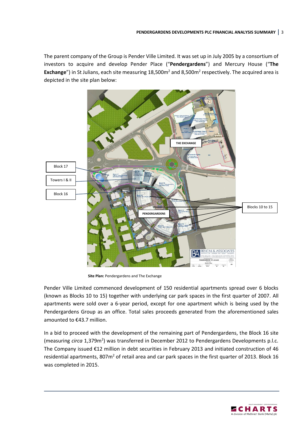The parent company of the Group is Pender Ville Limited. It was set up in July 2005 by a consortium of investors to acquire and develop Pender Place ("**Pendergardens**") and Mercury House ("**The**  Exchange") in St Julians, each site measuring 18,500m<sup>2</sup> and 8,500m<sup>2</sup> respectively. The acquired area is depicted in the site plan below:



**Site Plan:** Pendergardens and The Exchange

Pender Ville Limited commenced development of 150 residential apartments spread over 6 blocks (known as Blocks 10 to 15) together with underlying car park spaces in the first quarter of 2007. All apartments were sold over a 6-year period, except for one apartment which is being used by the Pendergardens Group as an office. Total sales proceeds generated from the aforementioned sales amounted to €43.7 million.

In a bid to proceed with the development of the remaining part of Pendergardens, the Block 16 site (measuring *circa* 1,379m<sup>2</sup>) was transferred in December 2012 to Pendergardens Developments p.l.c. The Company issued €12 million in debt securities in February 2013 and initiated construction of 46 residential apartments, 807m<sup>2</sup> of retail area and car park spaces in the first quarter of 2013. Block 16 was completed in 2015.

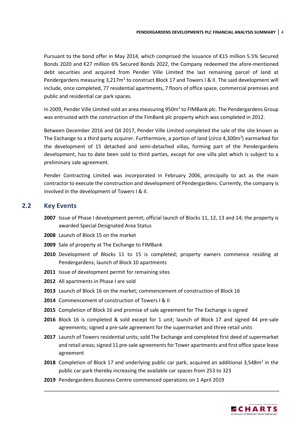Pursuant to the bond offer in May 2014, which comprised the issuance of €15 million 5.5% Secured Bonds 2020 and €27 million 6% Secured Bonds 2022, the Company redeemed the afore-mentioned debt securities and acquired from Pender Ville Limited the last remaining parcel of land at Pendergardens measuring 3,217m<sup>2</sup> to construct Block 17 and Towers I & II. The said development will include, once completed, 77 residential apartments, 7 floors of office space, commercial premises and public and residential car park spaces.

In 2009, Pender Ville Limited sold an area measuring 950m<sup>2</sup> to FIMBank plc. The Pendergardens Group was entrusted with the construction of the FimBank plc property which was completed in 2012.

Between December 2016 and Q4 2017, Pender Ville Limited completed the sale of the site known as The Exchange to a third party acquirer. Furthermore, a portion of land (*circa* 4,300m<sup>2</sup>) earmarked for the development of 15 detached and semi-detached villas, forming part of the Pendergardens development, has to date been sold to third parties, except for one villa plot which is subject to a preliminary sale agreement.

Pender Contracting Limited was incorporated in February 2006, principally to act as the main contractor to execute the construction and development of Pendergardens. Currently, the company is involved in the development of Towers I & II.

#### <span id="page-6-0"></span>**2.2 Key Events**

- **2007** Issue of Phase I development permit; official launch of Blocks 11, 12, 13 and 14; the property is awarded Special Designated Area Status
- **2008** Launch of Block 15 on the market
- **2009** Sale of property at The Exchange to FIMBank
- **2010** Development of Blocks 11 to 15 is completed; property owners commence residing at Pendergardens; launch of Block 10 apartments
- **2011** Issue of development permit for remaining sites
- **2012** All apartments in Phase I are sold
- **2013** Launch of Block 16 on the market; commencement of construction of Block 16
- **2014** Commencement of construction of Towers I & II
- **2015** Completion of Block 16 and promise of sale agreement for The Exchange is signed
- **2016** Block 16 is completed & sold except for 1 unit; launch of Block 17 and signed 44 pre-sale agreements; signed a pre-sale agreement for the supermarket and three retail units
- **2017** Launch of Towers residential units; sold The Exchange and completed first deed of supermarket and retail areas; signed 11 pre-sale agreements for Tower apartments and first office space lease agreement
- 2018 Completion of Block 17 and underlying public car park; acquired an additional 3,548m<sup>2</sup> in the public car park thereby increasing the available car spaces from 253 to 323
- **2019** Pendergardens Business Centre commenced operations on 1 April 2019

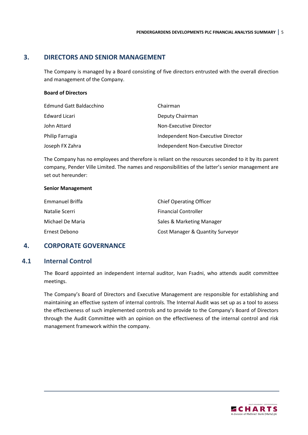#### **3. DIRECTORS AND SENIOR MANAGEMENT**

<span id="page-7-0"></span>The Company is managed by a Board consisting of five directors entrusted with the overall direction and management of the Company.

#### **Board of Directors**

| Edmund Gatt Baldacchino | Chairman                           |
|-------------------------|------------------------------------|
| Edward Licari           | Deputy Chairman                    |
| John Attard             | Non-Executive Director             |
| Philip Farrugia         | Independent Non-Executive Director |
| Joseph FX Zahra         | Independent Non-Executive Director |

The Company has no employees and therefore is reliant on the resources seconded to it by its parent company, Pender Ville Limited. The names and responsibilities of the latter's senior management are set out hereunder:

#### **Senior Management**

| Emmanuel Briffa  | <b>Chief Operating Officer</b>   |
|------------------|----------------------------------|
| Natalie Scerri   | <b>Financial Controller</b>      |
| Michael De Maria | Sales & Marketing Manager        |
| Ernest Debono    | Cost Manager & Quantity Surveyor |

# <span id="page-7-1"></span>**4. CORPORATE GOVERNANCE**

#### <span id="page-7-2"></span>**4.1 Internal Control**

The Board appointed an independent internal auditor, Ivan Fsadni, who attends audit committee meetings.

The Company's Board of Directors and Executive Management are responsible for establishing and maintaining an effective system of internal controls. The Internal Audit was set up as a tool to assess the effectiveness of such implemented controls and to provide to the Company's Board of Directors through the Audit Committee with an opinion on the effectiveness of the internal control and risk management framework within the company.

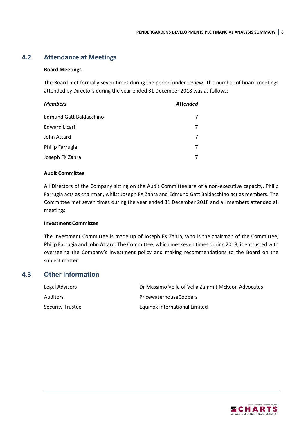# <span id="page-8-0"></span>**4.2 Attendance at Meetings**

#### **Board Meetings**

The Board met formally seven times during the period under review. The number of board meetings attended by Directors during the year ended 31 December 2018 was as follows:

| <b>Members</b>          | <b>Attended</b> |
|-------------------------|-----------------|
| Edmund Gatt Baldacchino |                 |
| <b>Edward Licari</b>    |                 |
| John Attard             |                 |
| Philip Farrugia         |                 |
| Joseph FX Zahra         |                 |

#### **Audit Committee**

All Directors of the Company sitting on the Audit Committee are of a non-executive capacity. Philip Farrugia acts as chairman, whilst Joseph FX Zahra and Edmund Gatt Baldacchino act as members. The Committee met seven times during the year ended 31 December 2018 and all members attended all meetings.

#### **Investment Committee**

The Investment Committee is made up of Joseph FX Zahra, who is the chairman of the Committee, Philip Farrugia and John Attard. The Committee, which met seven times during 2018, is entrusted with overseeing the Company's investment policy and making recommendations to the Board on the subject matter.

# <span id="page-8-1"></span>**4.3 Other Information**

| Legal Advisors          | Dr Massimo Vella of Vella Zammit McKeon Advocates |
|-------------------------|---------------------------------------------------|
| <b>Auditors</b>         | <b>PricewaterhouseCoopers</b>                     |
| <b>Security Trustee</b> | Equinox International Limited                     |

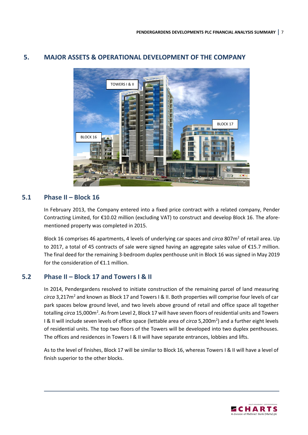

# <span id="page-9-0"></span>**5. MAJOR ASSETS & OPERATIONAL DEVELOPMENT OF THE COMPANY**

# <span id="page-9-1"></span>**5.1 Phase II – Block 16**

In February 2013, the Company entered into a fixed price contract with a related company, Pender Contracting Limited, for €10.02 million (excluding VAT) to construct and develop Block 16. The aforementioned property was completed in 2015.

Block 16 comprises 46 apartments, 4 levels of underlying car spaces and *circa* 807m<sup>2</sup> of retail area. Up to 2017, a total of 45 contracts of sale were signed having an aggregate sales value of €15.7 million. The final deed for the remaining 3-bedroom duplex penthouse unit in Block 16 was signed in May 2019 for the consideration of €1.1 million.

# <span id="page-9-2"></span>**5.2 Phase II – Block 17 and Towers I & II**

In 2014, Pendergardens resolved to initiate construction of the remaining parcel of land measuring *circa* 3,217m<sup>2</sup> and known as Block 17 and Towers I & II. Both properties will comprise four levels of car park spaces below ground level, and two levels above ground of retail and office space all together totalling *circa* 15,000m<sup>2</sup>. As from Level 2, Block 17 will have seven floors of residential units and Towers I & II will include seven levels of office space (lettable area of *circa* 5,200m<sup>2</sup>) and a further eight levels of residential units. The top two floors of the Towers will be developed into two duplex penthouses. The offices and residences in Towers I & II will have separate entrances, lobbies and lifts.

As to the level of finishes, Block 17 will be similar to Block 16, whereas Towers I & II will have a level of finish superior to the other blocks.

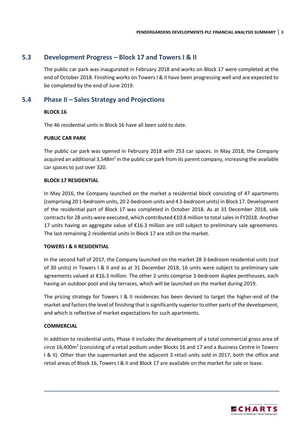### <span id="page-10-0"></span>**5.3 Development Progress – Block 17 and Towers I & II**

The public car park was inaugurated in February 2018 and works on Block 17 were completed at the end of October 2018. Finishing works on Towers I & II have been progressing well and are expected to be completed by the end of June 2019.

# <span id="page-10-1"></span>**5.4 Phase II – Sales Strategy and Projections**

#### **BLOCK 16**

The 46 residential units in Block 16 have all been sold to date.

#### **PUBLIC CAR PARK**

The public car park was opened in February 2018 with 253 car spaces. In May 2018, the Company acquired an additional 3,548m<sup>2</sup> in the public car park from its parent company, increasing the available car spaces to just over 320.

#### **BLOCK 17 RESIDENTIAL**

In May 2016, the Company launched on the market a residential block consisting of 47 apartments (comprising 20 1-bedroom units, 20 2-bedroom units and 4 3-bedroom units) in Block 17. Development of the residential part of Block 17 was completed in October 2018. As at 31 December 2018, sale contracts for 28 units were executed, which contributed €10.8 million to total sales in FY2018. Another 17 units having an aggregate value of €16.3 million are still subject to preliminary sale agreements. The last remaining 2 residential units in Block 17 are still on the market.

#### **TOWERS I & II RESIDENTIAL**

In the second half of 2017, the Company launched on the market 28 3-bedroom residential units (out of 30 units) in Towers I & II and as at 31 December 2018, 16 units were subject to preliminary sale agreements valued at €16.3 million. The other 2 units comprise 3-bedroom duplex penthouses, each having an outdoor pool and sky terraces, which will be launched on the market during 2019.

The pricing strategy for Towers I & II residences has been devised to target the higher-end of the market and factors the level of finishing that issignificantly superior to other parts of the development, and which is reflective of market expectations for such apartments.

#### **COMMERCIAL**

In addition to residential units, Phase II includes the development of a total commercial gross area of circa 16,400m<sup>2</sup> (consisting of a retail podium under Blocks 16 and 17 and a Business Centre in Towers I & II). Other than the supermarket and the adjacent 3 retail units sold in 2017, both the office and retail areas of Block 16, Towers I & II and Block 17 are available on the market for sale or lease.

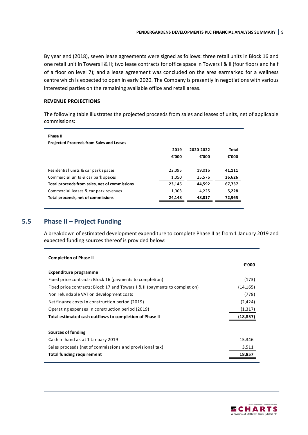By year end (2018), seven lease agreements were signed as follows: three retail units in Block 16 and one retail unit in Towers I & II; two lease contracts for office space in Towers I & II (four floors and half of a floor on level 7); and a lease agreement was concluded on the area earmarked for a wellness centre which is expected to open in early 2020. The Company is presently in negotiations with various interested parties on the remaining available office and retail areas.

#### **REVENUE PROJECTIONS**

The following table illustrates the projected proceeds from sales and leases of units, net of applicable commissions:

| Phase II<br><b>Projected Proceeds from Sales and Leases</b> |        |           |        |
|-------------------------------------------------------------|--------|-----------|--------|
|                                                             | 2019   | 2020-2022 | Total  |
|                                                             | €'000  | €'000     | €'000  |
|                                                             |        |           |        |
| Residential units & car park spaces                         | 22.095 | 19,016    | 41,111 |
| Commercial units & car park spaces                          | 1,050  | 25,576    | 26,626 |
| Total proceeds from sales, net of commissions               | 23,145 | 44,592    | 67,737 |
| Commercial leases & car park revenues                       | 1,003  | 4,225     | 5,228  |
| Total proceeds, net of commissions                          | 24.148 | 48.817    | 72,965 |
|                                                             |        |           |        |

# <span id="page-11-0"></span>**5.5 Phase II – Project Funding**

A breakdown of estimated development expenditure to complete Phase II as from 1 January 2019 and expected funding sources thereof is provided below:

| <b>Completion of Phase II</b>                                              |           |
|----------------------------------------------------------------------------|-----------|
|                                                                            | €'000     |
| Expenditure programme                                                      |           |
| Fixed price contracts: Block 16 (payments to completion)                   | (173)     |
| Fixed price contracts: Block 17 and Towers 1 & II (payments to completion) | (14, 165) |
| Non refundable VAT on development costs                                    | (778)     |
| Net finance costs in construction period (2019)                            | (2,424)   |
| Operating expenses in construction period (2019)                           | (1,317)   |
| Total estimated cash outflows to completion of Phase II                    | (18, 857) |
|                                                                            |           |
| Sources of funding                                                         |           |
| Cash in hand as at 1 January 2019                                          | 15,346    |
| Sales proceeds (net of commissions and provisional tax)                    | 3,511     |
| <b>Total funding requirement</b>                                           | 18,857    |

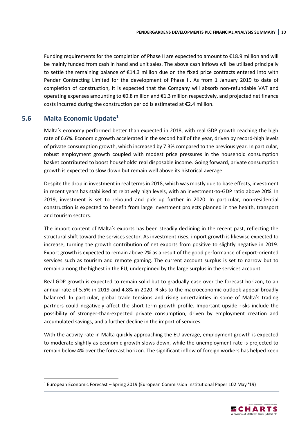Funding requirements for the completion of Phase II are expected to amount to €18.9 million and will be mainly funded from cash in hand and unit sales. The above cash inflows will be utilised principally to settle the remaining balance of €14.3 million due on the fixed price contracts entered into with Pender Contracting Limited for the development of Phase II. As from 1 January 2019 to date of completion of construction, it is expected that the Company will absorb non-refundable VAT and operating expenses amounting to €0.8 million and €1.3 million respectively, and projected net finance costs incurred during the construction period is estimated at €2.4 million.

# <span id="page-12-0"></span>**5.6 Malta Economic Update<sup>1</sup>**

**.** 

Malta's economy performed better than expected in 2018, with real GDP growth reaching the high rate of 6.6%. Economic growth accelerated in the second half of the year, driven by record-high levels of private consumption growth, which increased by 7.3% compared to the previous year. In particular, robust employment growth coupled with modest price pressures in the household consumption basket contributed to boost households' real disposable income. Going forward, private consumption growth is expected to slow down but remain well above its historical average.

Despite the drop in investment in real terms in 2018, which was mostly due to base effects, investment in recent years has stabilised at relatively high levels, with an investment-to-GDP ratio above 20%. In 2019, investment is set to rebound and pick up further in 2020. In particular, non-residential construction is expected to benefit from large investment projects planned in the health, transport and tourism sectors.

The import content of Malta's exports has been steadily declining in the recent past, reflecting the structural shift toward the services sector. As investment rises, import growth is likewise expected to increase, turning the growth contribution of net exports from positive to slightly negative in 2019. Export growth is expected to remain above 2% as a result of the good performance of export-oriented services such as tourism and remote gaming. The current account surplus is set to narrow but to remain among the highest in the EU, underpinned by the large surplus in the services account.

Real GDP growth is expected to remain solid but to gradually ease over the forecast horizon, to an annual rate of 5.5% in 2019 and 4.8% in 2020. Risks to the macroeconomic outlook appear broadly balanced. In particular, global trade tensions and rising uncertainties in some of Malta's trading partners could negatively affect the short-term growth profile. Important upside risks include the possibility of stronger-than-expected private consumption, driven by employment creation and accumulated savings, and a further decline in the import of services.

With the activity rate in Malta quickly approaching the EU average, employment growth is expected to moderate slightly as economic growth slows down, while the unemployment rate is projected to remain below 4% over the forecast horizon. The significant inflow of foreign workers has helped keep

<sup>1</sup> European Economic Forecast – Spring 2019 (European Commission Institutional Paper 102 May '19)

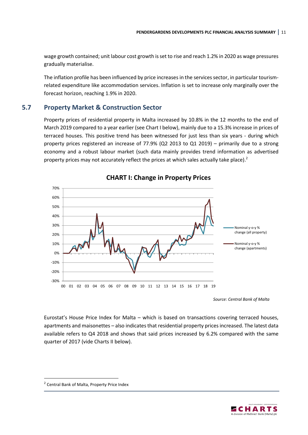wage growth contained; unit labour cost growth is set to rise and reach 1.2% in 2020 as wage pressures gradually materialise.

The inflation profile has been influenced by price increases in the services sector, in particular tourismrelated expenditure like accommodation services. Inflation is set to increase only marginally over the forecast horizon, reaching 1.9% in 2020.

# <span id="page-13-0"></span>**5.7 Property Market & Construction Sector**

Property prices of residential property in Malta increased by 10.8% in the 12 months to the end of March 2019 compared to a year earlier (see Chart I below), mainly due to a 15.3% increase in prices of terraced houses. This positive trend has been witnessed for just less than six years - during which property prices registered an increase of 77.9% (Q2 2013 to Q1 2019) – primarily due to a strong economy and a robust labour market (such data mainly provides trend information as advertised property prices may not accurately reflect the prices at which sales actually take place).<sup>2</sup>



**CHART I: Change in Property Prices**

*Source: Central Bank of Malta*

Eurostat's House Price Index for Malta – which is based on transactions covering terraced houses, apartments and maisonettes – also indicates that residential property prices increased. The latest data available refers to Q4 2018 and shows that said prices increased by 6.2% compared with the same quarter of 2017 (vide Charts II below).

**.** 



<sup>2</sup> Central Bank of Malta, Property Price Index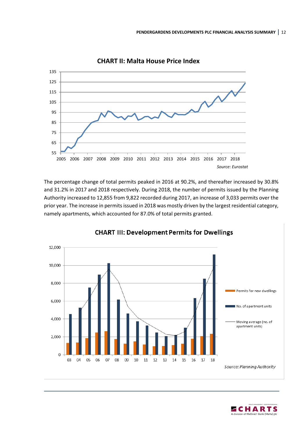

**CHART II: Malta House Price Index**

The percentage change of total permits peaked in 2016 at 90.2%, and thereafter increased by 30.8% and 31.2% in 2017 and 2018 respectively. During 2018, the number of permits issued by the Planning Authority increased to 12,855 from 9,822 recorded during 2017, an increase of 3,033 permits over the prior year. The increase in permits issued in 2018 was mostly driven by the largest residential category, namely apartments, which accounted for 87.0% of total permits granted.



#### **CHART III: Development Permits for Dwellings**

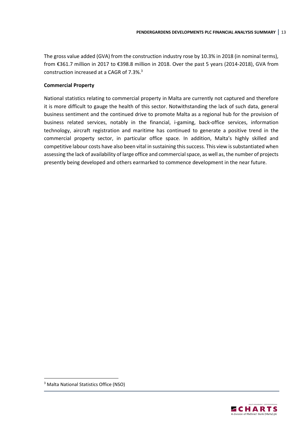The gross value added (GVA) from the construction industry rose by 10.3% in 2018 (in nominal terms), from €361.7 million in 2017 to €398.8 million in 2018. Over the past 5 years (2014-2018), GVA from construction increased at a CAGR of 7.3%.<sup>3</sup>

#### **Commercial Property**

National statistics relating to commercial property in Malta are currently not captured and therefore it is more difficult to gauge the health of this sector. Notwithstanding the lack of such data, general business sentiment and the continued drive to promote Malta as a regional hub for the provision of business related services, notably in the financial, i-gaming, back-office services, information technology, aircraft registration and maritime has continued to generate a positive trend in the commercial property sector, in particular office space. In addition, Malta's highly skilled and competitive labour costs have also been vital in sustaining this success. This view is substantiated when assessing the lack of availability of large office and commercial space, as well as, the number of projects presently being developed and others earmarked to commence development in the near future.

**.** 



<sup>3</sup> Malta National Statistics Office (NSO)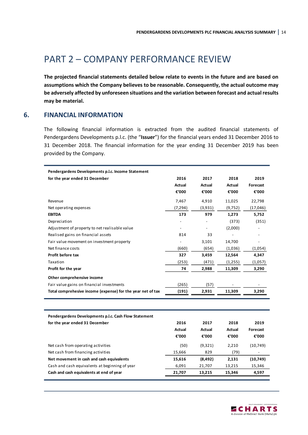# <span id="page-16-0"></span>PART 2 – COMPANY PERFORMANCE REVIEW

**The projected financial statements detailed below relate to events in the future and are based on assumptions which the Company believes to be reasonable. Consequently, the actual outcome may be adversely affected by unforeseen situations and the variation between forecast and actual results may be material.**

#### **6. FINANCIAL INFORMATION**

<span id="page-16-1"></span>The following financial information is extracted from the audited financial statements of Pendergardens Developments p.l.c. (the "**Issuer**") for the financial years ended 31 December 2016 to 31 December 2018. The financial information for the year ending 31 December 2019 has been provided by the Company.

| 2016<br>for the year ended 31 December<br>2017<br>2018<br>2019<br>Actual<br>Actual<br>Actual<br>Forecast<br>€'000<br>€'000<br>€'000<br>€'000<br>7,467<br>4,910<br>11,025<br>22,798<br>Revenue<br>(7, 294)<br>(9, 752)<br>Net operating expenses<br>(3,931)<br>(17,046)<br><b>EBITDA</b><br>173<br>979<br>1,273<br>5,752<br>(373)<br>(351)<br>Depreciation<br>Adjustment of property to net realisable value<br>(2,000)<br>Realised gains on financial assets<br>814<br>33<br>Fair value movement on investment property<br>3,101<br>14,700<br>$\overline{a}$<br>Net finance costs<br>(660)<br>(654)<br>(1,036)<br>(1,054)<br>Profit before tax<br>327<br>12,564<br>3,459<br>4,347<br>Taxation<br>(253)<br>(471)<br>(1,255)<br>(1,057)<br>Profit for the year<br>74<br>2,988<br>11,309<br>3,290<br>Other comprehensive income<br>Fair value gains on financial investments<br>(265)<br>(57)<br>Total comprehesive income (expense) for the year net of tax<br>(191)<br>2,931<br>11,309<br>3,290<br>Pendergardens Developments p.l.c. Cash Flow Statement<br>2016<br>2017<br>2018<br>2019<br>for the year ended 31 December<br>Actual<br>Actual<br>Actual<br>Forecast<br>€'000<br>€'000<br>€'000<br>€'000<br>Net cash from operating activities<br>(50)<br>(9,321)<br>2,210<br>(10, 749)<br>Net cash from financing activities<br>15,666<br>829<br>(79)<br>Net movement in cash and cash equivalents<br>15,616<br>(8, 492)<br>2,131<br>(10, 749)<br>Cash and cash equivalents at beginning of year<br>6,091<br>21,707<br>13,215<br>15,346<br>Cash and cash equivalents at end of year<br>21,707<br>15,346<br>13,215<br>4,597 | Pendergardens Developments p.l.c. Income Statement |  |  |
|----------------------------------------------------------------------------------------------------------------------------------------------------------------------------------------------------------------------------------------------------------------------------------------------------------------------------------------------------------------------------------------------------------------------------------------------------------------------------------------------------------------------------------------------------------------------------------------------------------------------------------------------------------------------------------------------------------------------------------------------------------------------------------------------------------------------------------------------------------------------------------------------------------------------------------------------------------------------------------------------------------------------------------------------------------------------------------------------------------------------------------------------------------------------------------------------------------------------------------------------------------------------------------------------------------------------------------------------------------------------------------------------------------------------------------------------------------------------------------------------------------------------------------------------------------------------------------------------------------------------------|----------------------------------------------------|--|--|
|                                                                                                                                                                                                                                                                                                                                                                                                                                                                                                                                                                                                                                                                                                                                                                                                                                                                                                                                                                                                                                                                                                                                                                                                                                                                                                                                                                                                                                                                                                                                                                                                                            |                                                    |  |  |
|                                                                                                                                                                                                                                                                                                                                                                                                                                                                                                                                                                                                                                                                                                                                                                                                                                                                                                                                                                                                                                                                                                                                                                                                                                                                                                                                                                                                                                                                                                                                                                                                                            |                                                    |  |  |
|                                                                                                                                                                                                                                                                                                                                                                                                                                                                                                                                                                                                                                                                                                                                                                                                                                                                                                                                                                                                                                                                                                                                                                                                                                                                                                                                                                                                                                                                                                                                                                                                                            |                                                    |  |  |
|                                                                                                                                                                                                                                                                                                                                                                                                                                                                                                                                                                                                                                                                                                                                                                                                                                                                                                                                                                                                                                                                                                                                                                                                                                                                                                                                                                                                                                                                                                                                                                                                                            |                                                    |  |  |
|                                                                                                                                                                                                                                                                                                                                                                                                                                                                                                                                                                                                                                                                                                                                                                                                                                                                                                                                                                                                                                                                                                                                                                                                                                                                                                                                                                                                                                                                                                                                                                                                                            |                                                    |  |  |
|                                                                                                                                                                                                                                                                                                                                                                                                                                                                                                                                                                                                                                                                                                                                                                                                                                                                                                                                                                                                                                                                                                                                                                                                                                                                                                                                                                                                                                                                                                                                                                                                                            |                                                    |  |  |
|                                                                                                                                                                                                                                                                                                                                                                                                                                                                                                                                                                                                                                                                                                                                                                                                                                                                                                                                                                                                                                                                                                                                                                                                                                                                                                                                                                                                                                                                                                                                                                                                                            |                                                    |  |  |
|                                                                                                                                                                                                                                                                                                                                                                                                                                                                                                                                                                                                                                                                                                                                                                                                                                                                                                                                                                                                                                                                                                                                                                                                                                                                                                                                                                                                                                                                                                                                                                                                                            |                                                    |  |  |
|                                                                                                                                                                                                                                                                                                                                                                                                                                                                                                                                                                                                                                                                                                                                                                                                                                                                                                                                                                                                                                                                                                                                                                                                                                                                                                                                                                                                                                                                                                                                                                                                                            |                                                    |  |  |
|                                                                                                                                                                                                                                                                                                                                                                                                                                                                                                                                                                                                                                                                                                                                                                                                                                                                                                                                                                                                                                                                                                                                                                                                                                                                                                                                                                                                                                                                                                                                                                                                                            |                                                    |  |  |
|                                                                                                                                                                                                                                                                                                                                                                                                                                                                                                                                                                                                                                                                                                                                                                                                                                                                                                                                                                                                                                                                                                                                                                                                                                                                                                                                                                                                                                                                                                                                                                                                                            |                                                    |  |  |
|                                                                                                                                                                                                                                                                                                                                                                                                                                                                                                                                                                                                                                                                                                                                                                                                                                                                                                                                                                                                                                                                                                                                                                                                                                                                                                                                                                                                                                                                                                                                                                                                                            |                                                    |  |  |
|                                                                                                                                                                                                                                                                                                                                                                                                                                                                                                                                                                                                                                                                                                                                                                                                                                                                                                                                                                                                                                                                                                                                                                                                                                                                                                                                                                                                                                                                                                                                                                                                                            |                                                    |  |  |
|                                                                                                                                                                                                                                                                                                                                                                                                                                                                                                                                                                                                                                                                                                                                                                                                                                                                                                                                                                                                                                                                                                                                                                                                                                                                                                                                                                                                                                                                                                                                                                                                                            |                                                    |  |  |
|                                                                                                                                                                                                                                                                                                                                                                                                                                                                                                                                                                                                                                                                                                                                                                                                                                                                                                                                                                                                                                                                                                                                                                                                                                                                                                                                                                                                                                                                                                                                                                                                                            |                                                    |  |  |
|                                                                                                                                                                                                                                                                                                                                                                                                                                                                                                                                                                                                                                                                                                                                                                                                                                                                                                                                                                                                                                                                                                                                                                                                                                                                                                                                                                                                                                                                                                                                                                                                                            |                                                    |  |  |
|                                                                                                                                                                                                                                                                                                                                                                                                                                                                                                                                                                                                                                                                                                                                                                                                                                                                                                                                                                                                                                                                                                                                                                                                                                                                                                                                                                                                                                                                                                                                                                                                                            |                                                    |  |  |
|                                                                                                                                                                                                                                                                                                                                                                                                                                                                                                                                                                                                                                                                                                                                                                                                                                                                                                                                                                                                                                                                                                                                                                                                                                                                                                                                                                                                                                                                                                                                                                                                                            |                                                    |  |  |
|                                                                                                                                                                                                                                                                                                                                                                                                                                                                                                                                                                                                                                                                                                                                                                                                                                                                                                                                                                                                                                                                                                                                                                                                                                                                                                                                                                                                                                                                                                                                                                                                                            |                                                    |  |  |
|                                                                                                                                                                                                                                                                                                                                                                                                                                                                                                                                                                                                                                                                                                                                                                                                                                                                                                                                                                                                                                                                                                                                                                                                                                                                                                                                                                                                                                                                                                                                                                                                                            |                                                    |  |  |
|                                                                                                                                                                                                                                                                                                                                                                                                                                                                                                                                                                                                                                                                                                                                                                                                                                                                                                                                                                                                                                                                                                                                                                                                                                                                                                                                                                                                                                                                                                                                                                                                                            |                                                    |  |  |
|                                                                                                                                                                                                                                                                                                                                                                                                                                                                                                                                                                                                                                                                                                                                                                                                                                                                                                                                                                                                                                                                                                                                                                                                                                                                                                                                                                                                                                                                                                                                                                                                                            |                                                    |  |  |
|                                                                                                                                                                                                                                                                                                                                                                                                                                                                                                                                                                                                                                                                                                                                                                                                                                                                                                                                                                                                                                                                                                                                                                                                                                                                                                                                                                                                                                                                                                                                                                                                                            |                                                    |  |  |
|                                                                                                                                                                                                                                                                                                                                                                                                                                                                                                                                                                                                                                                                                                                                                                                                                                                                                                                                                                                                                                                                                                                                                                                                                                                                                                                                                                                                                                                                                                                                                                                                                            |                                                    |  |  |
|                                                                                                                                                                                                                                                                                                                                                                                                                                                                                                                                                                                                                                                                                                                                                                                                                                                                                                                                                                                                                                                                                                                                                                                                                                                                                                                                                                                                                                                                                                                                                                                                                            |                                                    |  |  |
|                                                                                                                                                                                                                                                                                                                                                                                                                                                                                                                                                                                                                                                                                                                                                                                                                                                                                                                                                                                                                                                                                                                                                                                                                                                                                                                                                                                                                                                                                                                                                                                                                            |                                                    |  |  |
|                                                                                                                                                                                                                                                                                                                                                                                                                                                                                                                                                                                                                                                                                                                                                                                                                                                                                                                                                                                                                                                                                                                                                                                                                                                                                                                                                                                                                                                                                                                                                                                                                            |                                                    |  |  |

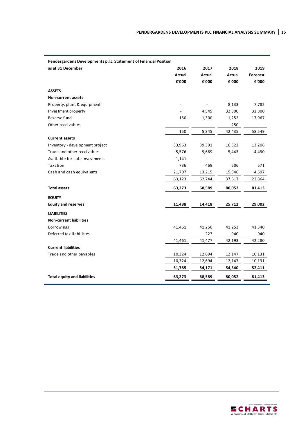| Pendergardens Developments p.l.c. Statement of Financial Position |                |        |        |          |  |  |  |
|-------------------------------------------------------------------|----------------|--------|--------|----------|--|--|--|
| as at 31 December                                                 | 2016           | 2017   | 2018   | 2019     |  |  |  |
|                                                                   | Actual         | Actual | Actual | Forecast |  |  |  |
|                                                                   | €'000          | €'000  | €'000  | €'000    |  |  |  |
| <b>ASSETS</b>                                                     |                |        |        |          |  |  |  |
| Non-current assets                                                |                |        |        |          |  |  |  |
| Property, plant & equipment                                       |                |        | 8,133  | 7,782    |  |  |  |
| Investment property                                               |                | 4,545  | 32,800 | 32,800   |  |  |  |
| Reserve fund                                                      | 150            | 1,300  | 1,252  | 17,967   |  |  |  |
| Other receivables                                                 | $\blacksquare$ |        | 250    |          |  |  |  |
|                                                                   | 150            | 5,845  | 42,435 | 58,549   |  |  |  |
| <b>Current assets</b>                                             |                |        |        |          |  |  |  |
| Inventory - development project                                   | 33,963         | 39,391 | 16,322 | 13,206   |  |  |  |
| Trade and other receivables                                       | 5,576          | 9,669  | 5,443  | 4,490    |  |  |  |
| Available-for-sale investments                                    | 1,141          |        |        |          |  |  |  |
| Taxation                                                          | 736            | 469    | 506    | 571      |  |  |  |
| Cash and cash equivalents                                         | 21,707         | 13,215 | 15,346 | 4,597    |  |  |  |
|                                                                   | 63,123         | 62,744 | 37,617 | 22,864   |  |  |  |
| <b>Total assets</b>                                               | 63,273         | 68,589 | 80,052 | 81,413   |  |  |  |
| <b>EQUITY</b>                                                     |                |        |        |          |  |  |  |
| <b>Equity and reserves</b>                                        | 11,488         | 14,418 | 25,712 | 29,002   |  |  |  |
| <b>LIABILITIES</b>                                                |                |        |        |          |  |  |  |
| <b>Non-current liabilities</b>                                    |                |        |        |          |  |  |  |
| <b>Borrowings</b>                                                 | 41,461         | 41,250 | 41,253 | 41,340   |  |  |  |
| Deferred tax liabilities                                          |                | 227    | 940    | 940      |  |  |  |
|                                                                   | 41,461         | 41,477 | 42,193 | 42,280   |  |  |  |
| <b>Current liabilities</b>                                        |                |        |        |          |  |  |  |
| Trade and other payables                                          | 10,324         | 12,694 | 12,147 | 10,131   |  |  |  |
|                                                                   | 10,324         | 12,694 | 12,147 | 10,131   |  |  |  |
|                                                                   | 51,785         | 54,171 | 54,340 | 52,411   |  |  |  |
| <b>Total equity and liabilities</b>                               | 63,273         | 68,589 | 80,052 | 81,413   |  |  |  |

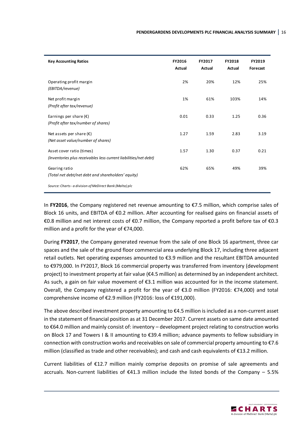| <b>Key Accounting Ratios</b>                                                                  | FY2016<br>Actual | FY2017<br>Actual | FY2018<br>Actual | FY2019<br>Forecast |
|-----------------------------------------------------------------------------------------------|------------------|------------------|------------------|--------------------|
| Operating profit margin<br>(EBITDA/revenue)                                                   | 2%               | 20%              | 12%              | 25%                |
| Net profit margin<br>(Profit after tax/revenue)                                               | 1%               | 61%              | 103%             | 14%                |
| Earnings per share $(\epsilon)$<br>(Profit after tax/number of shares)                        | 0.01             | 0.33             | 1.25             | 0.36               |
| Net assets per share $(\epsilon)$<br>(Net asset value/number of shares)                       | 1.27             | 1.59             | 2.83             | 3.19               |
| Asset cover ratio (times)<br>(Inventories plus receivables less current liabilities/net debt) | 1.57             | 1.30             | 0.37             | 0.21               |
| Gearing ratio<br>(Total net debt/net debt and shareholders' equity)                           | 62%              | 65%              | 49%              | 39%                |
| Source: Charts - a division of MeDirect Bank (Malta) plc                                      |                  |                  |                  |                    |

In **FY2016**, the Company registered net revenue amounting to €7.5 million, which comprise sales of Block 16 units, and EBITDA of €0.2 million. After accounting for realised gains on financial assets of €0.8 million and net interest costs of €0.7 million, the Company reported a profit before tax of €0.3 million and a profit for the year of €74,000.

During **FY2017**, the Company generated revenue from the sale of one Block 16 apartment, three car spaces and the sale of the ground floor commercial area underlying Block 17, including three adjacent retail outlets. Net operating expenses amounted to €3.9 million and the resultant EBITDA amounted to €979,000. In FY2017, Block 16 commercial property was transferred from inventory (development project) to investment property at fair value (€4.5 million) as determined by an independent architect. As such, a gain on fair value movement of €3.1 million was accounted for in the income statement. Overall, the Company registered a profit for the year of €3.0 million (FY2016: €74,000) and total comprehensive income of €2.9 million (FY2016: loss of €191,000).

The above described investment property amounting to €4.5 million is included as a non-current asset in the statement of financial position as at 31 December 2017. Current assets on same date amounted to €64.0 million and mainly consist of: inventory – development project relating to construction works on Block 17 and Towers I & II amounting to €39.4 million; advance payments to fellow subsidiary in connection with construction works and receivables on sale of commercial property amounting to €7.6 million (classified as trade and other receivables); and cash and cash equivalents of €13.2 million.

Current liabilities of €12.7 million mainly comprise deposits on promise of sale agreements and accruals. Non-current liabilities of €41.3 million include the listed bonds of the Company – 5.5%

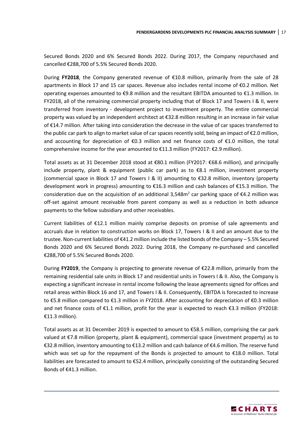Secured Bonds 2020 and 6% Secured Bonds 2022. During 2017, the Company repurchased and cancelled €288,700 of 5.5% Secured Bonds 2020.

During **FY2018**, the Company generated revenue of €10.8 million, primarily from the sale of 28 apartments in Block 17 and 15 car spaces. Revenue also includes rental income of €0.2 million. Net operating expenses amounted to €9.8 million and the resultant EBITDA amounted to €1.3 million. In FY2018, all of the remaining commercial property including that of Block 17 and Towers I & II, were transferred from inventory - development project to investment property. The entire commercial property was valued by an independent architect at €32.8 million resulting in an increase in fair value of €14.7 million. After taking into consideration the decrease in the value of car spaces transferred to the public car park to align to market value of car spaces recently sold, being an impact of €2.0 million, and accounting for depreciation of €0.3 million and net finance costs of €1.0 million, the total comprehensive income for the year amounted to €11.3 million (FY2017: €2.9 million).

Total assets as at 31 December 2018 stood at €80.1 million (FY2017: €68.6 million), and principally include property, plant & equipment (public car park) as to €8.1 million, investment property (commercial space in Block 17 and Towers I & II) amounting to €32.8 million, inventory (property development work in progress) amounting to €16.3 million and cash balances of €15.3 million. The consideration due on the acquisition of an additional 3,548 $m<sup>2</sup>$  car parking space of  $\epsilon$ 4.2 million was off-set against amount receivable from parent company as well as a reduction in both advance payments to the fellow subsidiary and other receivables.

Current liabilities of €12.1 million mainly comprise deposits on promise of sale agreements and accruals due in relation to construction works on Block 17, Towers I & II and an amount due to the trustee. Non-current liabilities of €41.2 million include the listed bonds of the Company – 5.5% Secured Bonds 2020 and 6% Secured Bonds 2022. During 2018, the Company re-purchased and cancelled €288,700 of 5.5% Secured Bonds 2020.

During **FY2019**, the Company is projecting to generate revenue of €22.8 million, primarily from the remaining residential sale units in Block 17 and residential units in Towers I & II. Also, the Company is expecting a significant increase in rental income following the lease agreements signed for offices and retail areas within Block 16 and 17, and Towers I & II. Consequently, EBITDA is forecasted to increase to €5.8 million compared to €1.3 million in FY2018. After accounting for depreciation of €0.3 million and net finance costs of €1.1 million, profit for the year is expected to reach €3.3 million (FY2018: €11.3 million).

Total assets as at 31 December 2019 is expected to amount to €58.5 million, comprising the car park valued at €7.8 million (property, plant & equipment), commercial space (investment property) as to €32.8 million, inventory amounting to €13.2 million and cash balance of €4.6 million. The reserve fund which was set up for the repayment of the Bonds is projected to amount to €18.0 million. Total liabilities are forecasted to amount to €52.4 million, principally consisting of the outstanding Secured Bonds of €41.3 million.

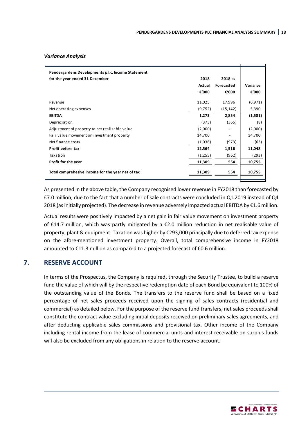#### *Variance Analysis*

| Pendergardens Developments p.l.c. Income Statement |          |            |          |  |
|----------------------------------------------------|----------|------------|----------|--|
| for the year ended 31 December                     | 2018     | 2018 as    |          |  |
|                                                    | Actual   | Forecasted | Variance |  |
|                                                    | €'000    | €'000      | €'000    |  |
| Revenue                                            | 11,025   | 17,996     | (6, 971) |  |
| Net operating expenses                             | (9, 752) | (15, 142)  | 5,390    |  |
| <b>EBITDA</b>                                      | 1,273    | 2,854      | (1,581)  |  |
| Depreciation                                       | (373)    | (365)      | (8)      |  |
| Adjustment of property to net realisable value     | (2,000)  |            | (2,000)  |  |
| Fair value movement on investment property         | 14,700   |            | 14,700   |  |
| Net finance costs                                  | (1,036)  | (973)      | (63)     |  |
| <b>Profit before tax</b>                           | 12,564   | 1,516      | 11,048   |  |
| Taxation                                           | (1,255)  | (962)      | (293)    |  |
| Profit for the year                                | 11,309   | 554        | 10,755   |  |
| Total comprehesive income for the year net of tax  | 11,309   | 554        | 10,755   |  |

As presented in the above table, the Company recognised lower revenue in FY2018 than forecasted by €7.0 million, due to the fact that a number of sale contracts were concluded in Q1 2019 instead of Q4 2018 (as initially projected). The decrease in revenue adversely impacted actual EBITDA by  $E1.6$  million.

Actual results were positively impacted by a net gain in fair value movement on investment property of €14.7 million, which was partly mitigated by a €2.0 million reduction in net realisable value of property, plant & equipment. Taxation was higher by €293,000 principally due to deferred tax expense on the afore-mentioned investment property. Overall, total comprehensive income in FY2018 amounted to €11.3 million as compared to a projected forecast of €0.6 million.

#### **7. RESERVE ACCOUNT**

<span id="page-20-0"></span>In terms of the Prospectus, the Company is required, through the Security Trustee, to build a reserve fund the value of which will by the respective redemption date of each Bond be equivalent to 100% of the outstanding value of the Bonds. The transfers to the reserve fund shall be based on a fixed percentage of net sales proceeds received upon the signing of sales contracts (residential and commercial) as detailed below. For the purpose of the reserve fund transfers, net sales proceeds shall constitute the contract value excluding initial deposits received on preliminary sales agreements, and after deducting applicable sales commissions and provisional tax. Other income of the Company including rental income from the lease of commercial units and interest receivable on surplus funds will also be excluded from any obligations in relation to the reserve account.

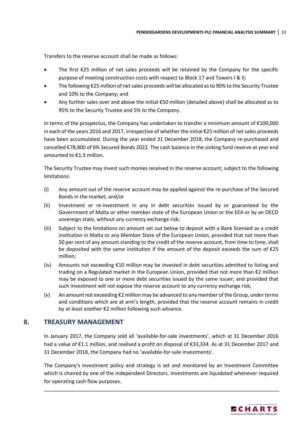Transfers to the reserve account shall be made as follows:

- The first €25 million of net sales proceeds will be retained by the Company for the specific purpose of meeting construction costs with respect to Block 17 and Towers I & II;
- The following €25 million of net sales proceeds will be allocated as to 90% to the Security Trustee and 10% to the Company; and
- Any further sales over and above the initial €50 million (detailed above) shall be allocated as to 95% to the Security Trustee and 5% to the Company.

In terms of the prospectus, the Company has undertaken to transfer a minimum amount of  $\epsilon$ 100,000 in each of the years 2016 and 2017, irrespective of whether the initial €25 million of net sales proceeds have been accumulated. During the year ended 31 December 2018, the Company re-purchased and cancelled €78,800 of 6% Secured Bonds 2022. The cash balance in the sinking fund reserve at year end amounted to €1.3 million.

The Security Trustee may invest such monies received in the reserve account, subject to the following limitations:

- (i) Any amount out of the reserve account may be applied against the re-purchase of the Secured Bonds in the market; and/or
- (ii) Investment or re-investment in any in debt securities issued by or guaranteed by the Government of Malta or other member state of the European Union or the EEA or by an OECD sovereign state, without any currency exchange risk;
- (iii) Subject to the limitations on amount set out below to deposit with a Bank licensed as a credit institution in Malta or any Member State of the European Union, provided that not more than 50 per cent of any amount standing to the credit of the reserve account, from time to time, shall be deposited with the same institution if the amount of the deposit exceeds the sum of €25 million;
- (iv) Amounts not exceeding  $\epsilon$ 10 million may be invested in debt securities admitted to listing and trading on a Regulated market in the European Union, provided that not more than €2 million may be exposed to one or more debt securities issued by the same issuer; and provided that such investment will not expose the reserve account to any currency exchange risk;
- (v) An amount not exceeding €2 million may be advanced to any member of the Group, under terms and conditions which are at arm's length, provided that the reserve account remains in credit by at least another €2 million following such advance.

# **8. TREASURY MANAGEMENT**

<span id="page-21-0"></span>In January 2017, the Company sold all 'available-for-sale investments', which at 31 December 2016 had a value of €1.1 million, and realised a profit on disposal of €33,334. As at 31 December 2017 and 31 December 2018, the Company had no 'available-for-sale investments'.

The Company's investment policy and strategy is set and monitored by an Investment Committee which is chaired by one of the independent Directors. Investments are liquidated whenever required for operating cash flow purposes.

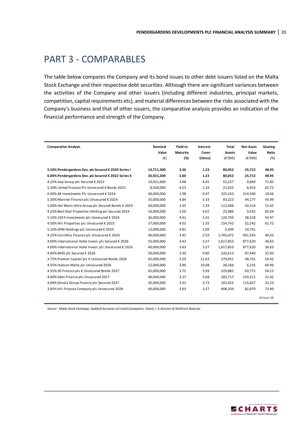# <span id="page-22-0"></span>PART 3 - COMPARABLES

The table below compares the Company and its bond issues to other debt issuers listed on the Malta Stock Exchange and their respective debt securities. Although there are significant variances between the activities of the Company and other issuers (including different industries, principal markets, competition, capital requirements etc), and material differences between the risks associated with the Company's business and that of other issuers, the comparative analysis provides an indication of the financial performance and strength of the Company.

| Nominal    | Yield to                                 | Interest     | Total        | <b>Net Asset</b>            | Gearing                     |
|------------|------------------------------------------|--------------|--------------|-----------------------------|-----------------------------|
| Value      | Maturity                                 | Cover        | Assets       | Value                       | Ratio                       |
|            | (%)                                      | (times)      |              |                             | (%)                         |
|            |                                          |              |              |                             |                             |
|            |                                          |              |              |                             | 48.95                       |
|            |                                          |              |              |                             | 48.95                       |
| 19,931,000 | 3.48                                     | 4.45         | 55,237       | 9.869                       | 71.82                       |
| 8,500,000  | 4.53                                     | 1.19         | 21,625       | 6,916                       | 62.72                       |
| 40,000,000 | 1.98                                     | 6.97         | 325,243      | 214,590                     | 18.66                       |
| 35,000,000 | 4.84                                     | 5.33         | 83,223       | 44,177                      | 43.99                       |
| 30,000,000 | 3.35                                     | 2.29         | 112,006      | 43.514                      | 51.65                       |
| 16,000,000 | 3.50                                     | 4.02         | 25,986       | 3,432                       | 82.64                       |
| 36,000,000 | 4.41                                     | 1.41         | 120,794      | 38,318                      | 54.97                       |
| 37.000.000 | 4.02                                     | 1.55         | 154,742      | 52.242                      | 61.72                       |
| 13,000,000 | 4.81                                     | 2.09         | 5,499        | 19.741<br>$\sim$            |                             |
| 40,000,000 | 3.91                                     | 2.59         | 1,765,072    | 901,595                     | 40.43                       |
| 55,000,000 | 3.43                                     | 3.27         | 1,617,853    | 877,620                     | 36.63                       |
| 40,000,000 | 3.63                                     | 3.27         | 1,617,853    | 877,620                     | 36.63                       |
| 50.000.000 | 3.30                                     | 9.80         | 220,613      | 97.440                      | 31.83                       |
| 65,000,000 | 3.59                                     | 12.63        | 179,451      | 48,701                      | 54.42                       |
| 12,000,000 | 3.86                                     | 10.08        | 28,166       | 6,135                       | 60.96                       |
| 65,000,000 | 3.75                                     | 5.93         | 229,882      | 63,771                      | 50.15                       |
| 40,000,000 | 3.27                                     | 5.68         | 185,717      | 103,511                     | 31.82                       |
| 45,000,000 | 3.32                                     | 3.73         | 202,425      | 115,827                     | 32.23                       |
| 40,000,000 | 3.63                                     | 3.27         | 408,204      | 82,870                      | 73.40                       |
|            |                                          |              |              |                             | 10 June '19                 |
|            | $(\epsilon)$<br>14,711,300<br>26,921,200 | 3.36<br>2.60 | 1.23<br>1.23 | (E'000)<br>80,052<br>80,052 | (E'000)<br>25,712<br>25,712 |

*Source: Malta Stock Exchange, Audited Accounts of Listed Companies, Charts | A division of MeDirect Bank plc*

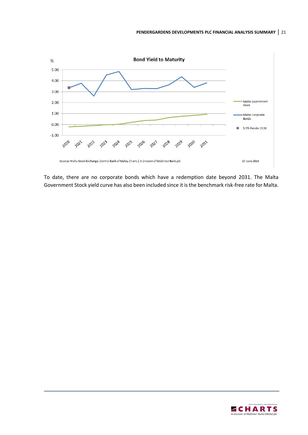

To date, there are no corporate bonds which have a redemption date beyond 2031. The Malta Government Stock yield curve has also been included since it is the benchmark risk-free rate for Malta.

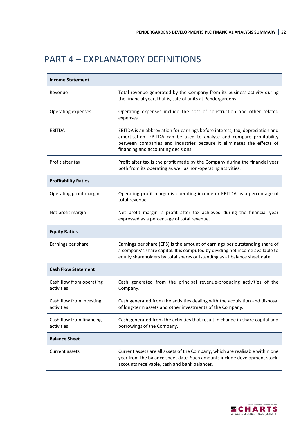# <span id="page-24-0"></span>PART 4 – EXPLANATORY DEFINITIONS

| <b>Income Statement</b>                |                                                                                                                                                                                                                                                                        |
|----------------------------------------|------------------------------------------------------------------------------------------------------------------------------------------------------------------------------------------------------------------------------------------------------------------------|
| Revenue                                | Total revenue generated by the Company from its business activity during<br>the financial year, that is, sale of units at Pendergardens.                                                                                                                               |
| Operating expenses                     | Operating expenses include the cost of construction and other related<br>expenses.                                                                                                                                                                                     |
| EBITDA                                 | EBITDA is an abbreviation for earnings before interest, tax, depreciation and<br>amortisation. EBITDA can be used to analyse and compare profitability<br>between companies and industries because it eliminates the effects of<br>financing and accounting decisions. |
| Profit after tax                       | Profit after tax is the profit made by the Company during the financial year<br>both from its operating as well as non-operating activities.                                                                                                                           |
| <b>Profitability Ratios</b>            |                                                                                                                                                                                                                                                                        |
| Operating profit margin                | Operating profit margin is operating income or EBITDA as a percentage of<br>total revenue.                                                                                                                                                                             |
| Net profit margin                      | Net profit margin is profit after tax achieved during the financial year<br>expressed as a percentage of total revenue.                                                                                                                                                |
| <b>Equity Ratios</b>                   |                                                                                                                                                                                                                                                                        |
| Earnings per share                     | Earnings per share (EPS) is the amount of earnings per outstanding share of<br>a company's share capital. It is computed by dividing net income available to<br>equity shareholders by total shares outstanding as at balance sheet date.                              |
| <b>Cash Flow Statement</b>             |                                                                                                                                                                                                                                                                        |
| Cash flow from operating<br>activities | Cash generated from the principal revenue-producing activities of the<br>Company.                                                                                                                                                                                      |
| Cash flow from investing<br>activities | Cash generated from the activities dealing with the acquisition and disposal<br>of long-term assets and other investments of the Company.                                                                                                                              |
| Cash flow from financing<br>activities | Cash generated from the activities that result in change in share capital and<br>borrowings of the Company.                                                                                                                                                            |
| <b>Balance Sheet</b>                   |                                                                                                                                                                                                                                                                        |
| Current assets                         | Current assets are all assets of the Company, which are realisable within one<br>year from the balance sheet date. Such amounts include development stock,<br>accounts receivable, cash and bank balances.                                                             |